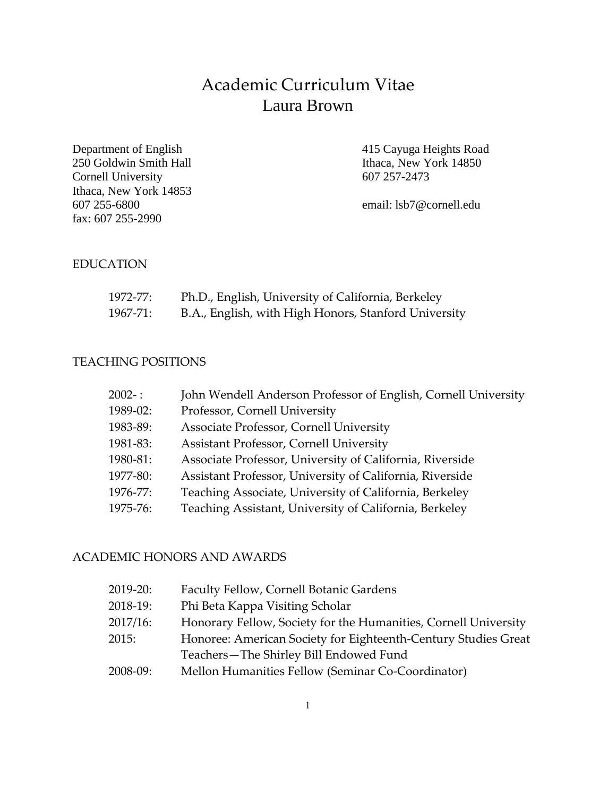# Academic Curriculum Vitae Laura Brown

Department of English 415 Cayuga Heights Road 250 Goldwin Smith Hall Ithaca, New York 14850 Cornell University 607 257-2473 Ithaca, New York 14853 607 255-6800 email: lsb7@cornell.edu fax: 607 255-2990

#### EDUCATION

| 1972-77: | Ph.D., English, University of California, Berkeley   |
|----------|------------------------------------------------------|
| 1967-71: | B.A., English, with High Honors, Stanford University |

#### TEACHING POSITIONS

| $2002 - :$ | John Wendell Anderson Professor of English, Cornell University |
|------------|----------------------------------------------------------------|
| 1989-02:   | Professor, Cornell University                                  |
| 1983-89:   | Associate Professor, Cornell University                        |
| 1981-83:   | <b>Assistant Professor, Cornell University</b>                 |
| 1980-81:   | Associate Professor, University of California, Riverside       |
| 1977-80:   | Assistant Professor, University of California, Riverside       |
| 1976-77:   | Teaching Associate, University of California, Berkeley         |
| 1975-76:   | Teaching Assistant, University of California, Berkeley         |
|            |                                                                |

### ACADEMIC HONORS AND AWARDS

| $2019 - 20:$ | Faculty Fellow, Cornell Botanic Gardens                         |
|--------------|-----------------------------------------------------------------|
| 2018-19:     | Phi Beta Kappa Visiting Scholar                                 |
| $2017/16$ :  | Honorary Fellow, Society for the Humanities, Cornell University |
| 2015:        | Honoree: American Society for Eighteenth-Century Studies Great  |
|              | Teachers-The Shirley Bill Endowed Fund                          |
| $2008-09:$   | Mellon Humanities Fellow (Seminar Co-Coordinator)               |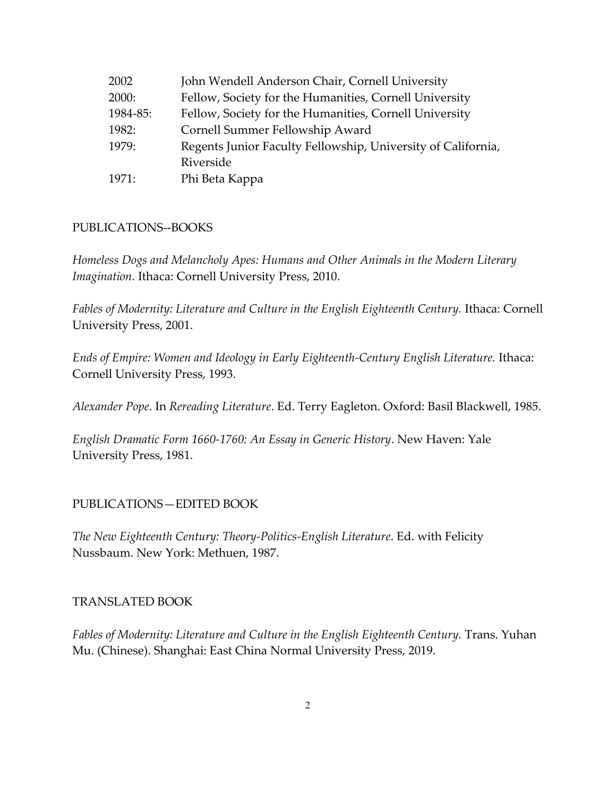| 2002     | John Wendell Anderson Chair, Cornell University              |
|----------|--------------------------------------------------------------|
| 2000:    | Fellow, Society for the Humanities, Cornell University       |
| 1984-85: | Fellow, Society for the Humanities, Cornell University       |
| 1982:    | Cornell Summer Fellowship Award                              |
| 1979:    | Regents Junior Faculty Fellowship, University of California, |
|          | Riverside                                                    |
| 1971:    | Phi Beta Kappa                                               |

#### PUBLICATIONS--BOOKS

*Homeless Dogs and Melancholy Apes: Humans and Other Animals in the Modern Literary Imagination.* Ithaca: Cornell University Press, 2010.

Fables of Modernity: Literature and Culture in the English Eighteenth Century. Ithaca: Cornell University Press, 2001.

*Ends of Empire: Women and Ideology in Early Eighteenth-Century English Literature.* Ithaca: Cornell University Press, 1993.

*Alexander Pope*. In *Rereading Literature*. Ed. Terry Eagleton. Oxford: Basil Blackwell, 1985.

*English Dramatic Form 1660-1760: An Essay in Generic History*. New Haven: Yale University Press, 1981.

#### PUBLICATIONS—EDITED BOOK

*The New Eighteenth Century: Theory-Politics-English Literature*. Ed. with Felicity Nussbaum. New York: Methuen, 1987.

#### TRANSLATED BOOK

Fables of Modernity: Literature and Culture in the English Eighteenth Century. Trans. Yuhan Mu. (Chinese). Shanghai: East China Normal University Press, 2019.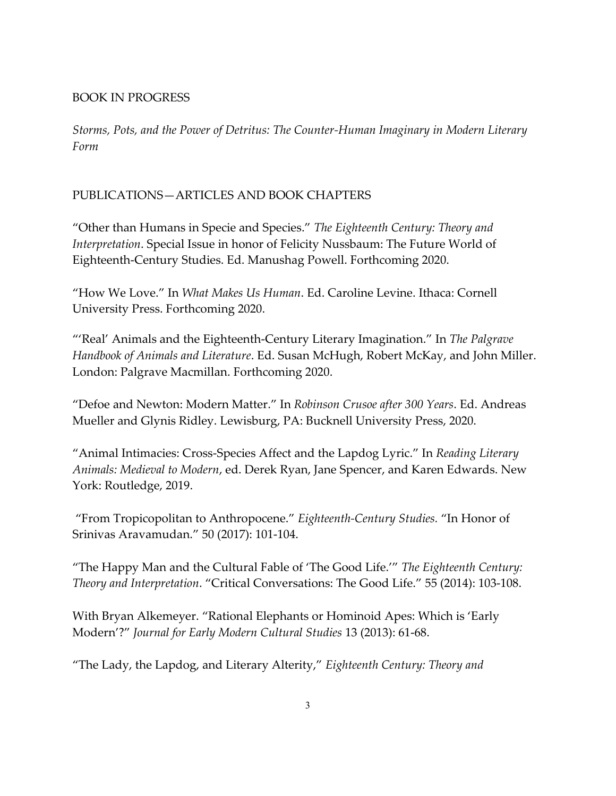## BOOK IN PROGRESS

*Storms, Pots, and the Power of Detritus: The Counter-Human Imaginary in Modern Literary Form*

## PUBLICATIONS—ARTICLES AND BOOK CHAPTERS

"Other than Humans in Specie and Species." *The Eighteenth Century: Theory and Interpretation*. Special Issue in honor of Felicity Nussbaum: The Future World of Eighteenth-Century Studies. Ed. Manushag Powell. Forthcoming 2020.

"How We Love." In *What Makes Us Human*. Ed. Caroline Levine. Ithaca: Cornell University Press. Forthcoming 2020.

"'Real' Animals and the Eighteenth-Century Literary Imagination." In *The Palgrave Handbook of Animals and Literature*. Ed. Susan McHugh, Robert McKay, and John Miller. London: Palgrave Macmillan. Forthcoming 2020.

"Defoe and Newton: Modern Matter." In *Robinson Crusoe after 300 Years*. Ed. Andreas Mueller and Glynis Ridley. Lewisburg, PA: Bucknell University Press, 2020.

"Animal Intimacies: Cross-Species Affect and the Lapdog Lyric." In *Reading Literary Animals: Medieval to Modern*, ed. Derek Ryan, Jane Spencer, and Karen Edwards. New York: Routledge, 2019.

"From Tropicopolitan to Anthropocene." *Eighteenth-Century Studies.* "In Honor of Srinivas Aravamudan." 50 (2017): 101-104.

"The Happy Man and the Cultural Fable of 'The Good Life.'" *The Eighteenth Century: Theory and Interpretation*. "Critical Conversations: The Good Life." 55 (2014): 103-108.

With Bryan Alkemeyer. "Rational Elephants or Hominoid Apes: Which is 'Early Modern'?" *Journal for Early Modern Cultural Studies* 13 (2013): 61-68.

"The Lady, the Lapdog, and Literary Alterity," *Eighteenth Century: Theory and*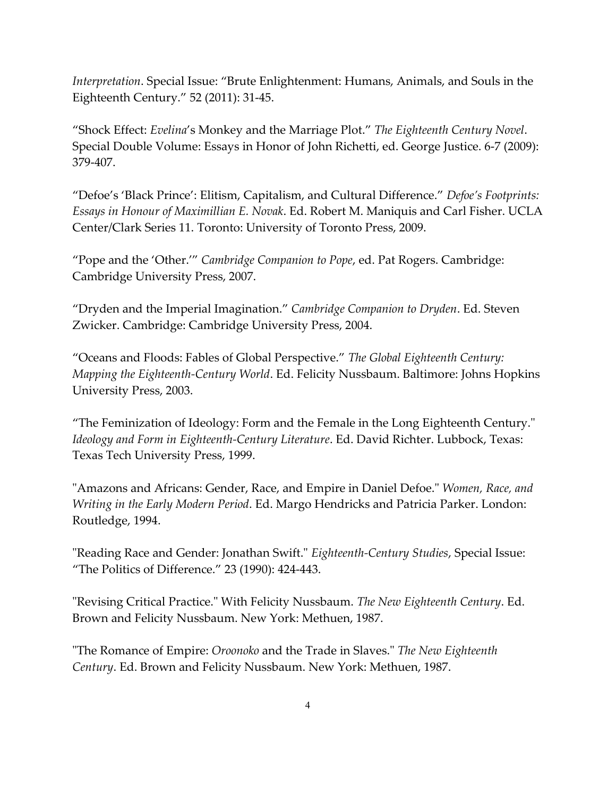*Interpretation*. Special Issue: "Brute Enlightenment: Humans, Animals, and Souls in the Eighteenth Century." 52 (2011): 31-45.

"Shock Effect: *Evelina*'s Monkey and the Marriage Plot." *The Eighteenth Century Novel*. Special Double Volume: Essays in Honor of John Richetti, ed. George Justice. 6-7 (2009): 379-407.

"Defoe's 'Black Prince': Elitism, Capitalism, and Cultural Difference." *Defoe's Footprints: Essays in Honour of Maximillian E. Novak*. Ed. Robert M. Maniquis and Carl Fisher. UCLA Center/Clark Series 11. Toronto: University of Toronto Press, 2009.

"Pope and the 'Other.'" *Cambridge Companion to Pope*, ed. Pat Rogers. Cambridge: Cambridge University Press, 2007.

"Dryden and the Imperial Imagination." *Cambridge Companion to Dryden*. Ed. Steven Zwicker. Cambridge: Cambridge University Press, 2004.

"Oceans and Floods: Fables of Global Perspective." *The Global Eighteenth Century: Mapping the Eighteenth-Century World*. Ed. Felicity Nussbaum. Baltimore: Johns Hopkins University Press, 2003.

"The Feminization of Ideology: Form and the Female in the Long Eighteenth Century." *Ideology and Form in Eighteenth-Century Literature*. Ed. David Richter. Lubbock, Texas: Texas Tech University Press, 1999.

"Amazons and Africans: Gender, Race, and Empire in Daniel Defoe." *Women, Race, and Writing in the Early Modern Period*. Ed. Margo Hendricks and Patricia Parker. London: Routledge, 1994.

"Reading Race and Gender: Jonathan Swift." *Eighteenth-Century Studies*, Special Issue: "The Politics of Difference." 23 (1990): 424-443.

"Revising Critical Practice." With Felicity Nussbaum. *The New Eighteenth Century*. Ed. Brown and Felicity Nussbaum. New York: Methuen, 1987.

"The Romance of Empire: *Oroonoko* and the Trade in Slaves." *The New Eighteenth Century*. Ed. Brown and Felicity Nussbaum. New York: Methuen, 1987.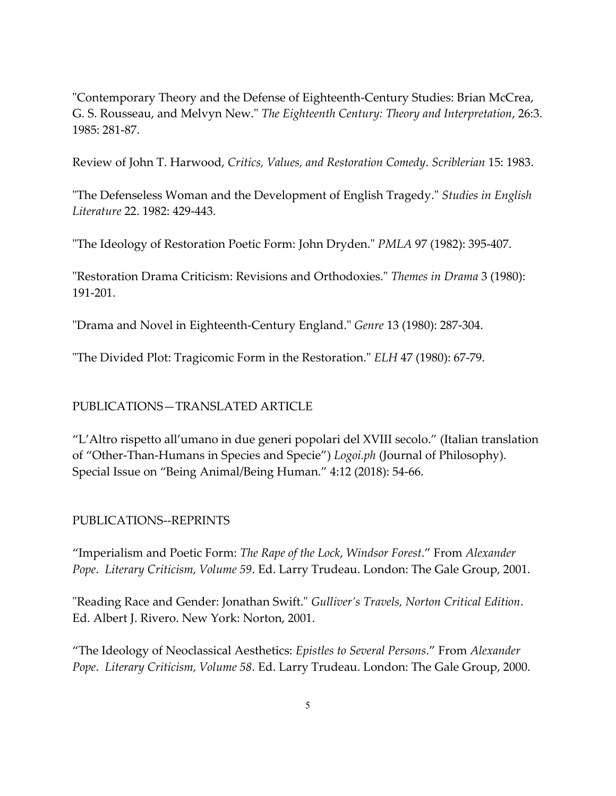"Contemporary Theory and the Defense of Eighteenth-Century Studies: Brian McCrea, G. S. Rousseau, and Melvyn New." *The Eighteenth Century: Theory and Interpretation*, 26:3. 1985: 281-87.

Review of John T. Harwood, *Critics, Values, and Restoration Comedy*. *Scriblerian* 15: 1983.

"The Defenseless Woman and the Development of English Tragedy." *Studies in English Literature* 22. 1982: 429-443.

"The Ideology of Restoration Poetic Form: John Dryden." *PMLA* 97 (1982): 395-407.

"Restoration Drama Criticism: Revisions and Orthodoxies." *Themes in Drama* 3 (1980): 191-201.

"Drama and Novel in Eighteenth-Century England." *Genre* 13 (1980): 287-304.

"The Divided Plot: Tragicomic Form in the Restoration." *ELH* 47 (1980): 67-79.

## PUBLICATIONS—TRANSLATED ARTICLE

"L'Altro rispetto all'umano in due generi popolari del XVIII secolo." (Italian translation of "Other-Than-Humans in Species and Specie") *Logoi.ph* (Journal of Philosophy). Special Issue on "Being Animal/Being Human." 4:12 (2018): 54-66.

## PUBLICATIONS--REPRINTS

"Imperialism and Poetic Form: *The Rape of the Lock*, *Windsor Forest*." From *Alexander Pope*. *Literary Criticism, Volume 59*. Ed. Larry Trudeau. London: The Gale Group, 2001.

"Reading Race and Gender: Jonathan Swift." *Gulliver's Travels, Norton Critical Edition*. Ed. Albert J. Rivero. New York: Norton, 2001.

"The Ideology of Neoclassical Aesthetics: *Epistles to Several Persons*." From *Alexander Pope*. *Literary Criticism, Volume 58*. Ed. Larry Trudeau. London: The Gale Group, 2000.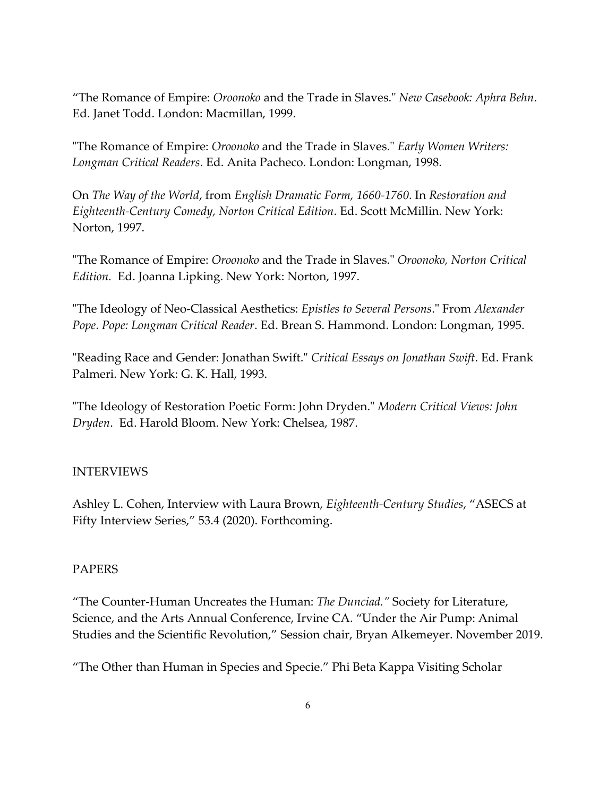"The Romance of Empire: *Oroonoko* and the Trade in Slaves." *New Casebook: Aphra Behn*. Ed. Janet Todd. London: Macmillan, 1999.

"The Romance of Empire: *Oroonoko* and the Trade in Slaves." *Early Women Writers: Longman Critical Readers*. Ed. Anita Pacheco. London: Longman, 1998.

On *The Way of the World*, from *English Dramatic Form, 1660-1760*. In *Restoration and Eighteenth-Century Comedy, Norton Critical Edition*. Ed. Scott McMillin. New York: Norton, 1997.

"The Romance of Empire: *Oroonoko* and the Trade in Slaves." *Oroonoko, Norton Critical Edition.* Ed. Joanna Lipking. New York: Norton, 1997.

"The Ideology of Neo-Classical Aesthetics: *Epistles to Several Persons*." From *Alexander Pope*. *Pope: Longman Critical Reader*. Ed. Brean S. Hammond. London: Longman, 1995.

"Reading Race and Gender: Jonathan Swift." *Critical Essays on Jonathan Swift*. Ed. Frank Palmeri. New York: G. K. Hall, 1993.

"The Ideology of Restoration Poetic Form: John Dryden." *Modern Critical Views: John Dryden*. Ed. Harold Bloom. New York: Chelsea, 1987.

## INTERVIEWS

Ashley L. Cohen, Interview with Laura Brown, *Eighteenth-Century Studies*, "ASECS at Fifty Interview Series," 53.4 (2020). Forthcoming.

#### PAPERS

"The Counter-Human Uncreates the Human: *The Dunciad."* Society for Literature, Science, and the Arts Annual Conference, Irvine CA. "Under the Air Pump: Animal Studies and the Scientific Revolution," Session chair, Bryan Alkemeyer. November 2019.

"The Other than Human in Species and Specie." Phi Beta Kappa Visiting Scholar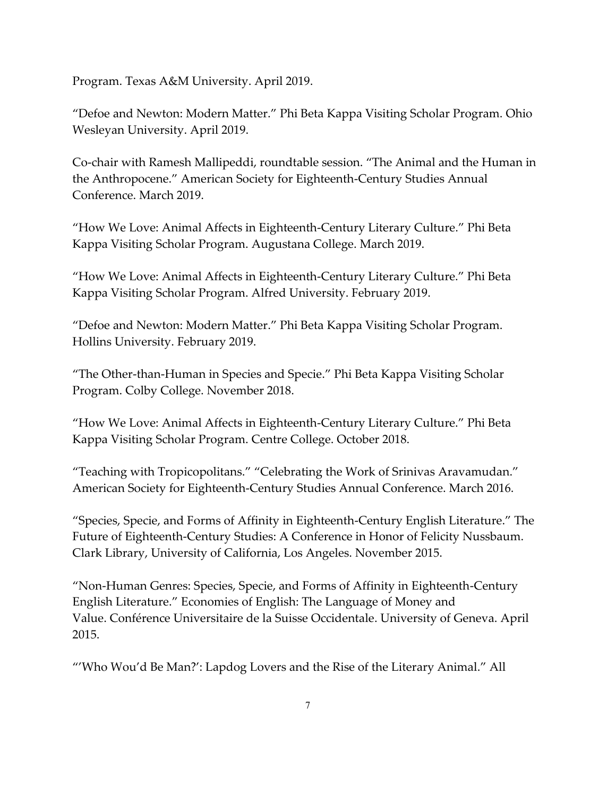Program. Texas A&M University. April 2019.

"Defoe and Newton: Modern Matter." Phi Beta Kappa Visiting Scholar Program. Ohio Wesleyan University. April 2019.

Co-chair with Ramesh Mallipeddi, roundtable session. "The Animal and the Human in the Anthropocene." American Society for Eighteenth-Century Studies Annual Conference. March 2019.

"How We Love: Animal Affects in Eighteenth-Century Literary Culture." Phi Beta Kappa Visiting Scholar Program. Augustana College. March 2019.

"How We Love: Animal Affects in Eighteenth-Century Literary Culture." Phi Beta Kappa Visiting Scholar Program. Alfred University. February 2019.

"Defoe and Newton: Modern Matter." Phi Beta Kappa Visiting Scholar Program. Hollins University. February 2019.

"The Other-than-Human in Species and Specie." Phi Beta Kappa Visiting Scholar Program. Colby College. November 2018.

"How We Love: Animal Affects in Eighteenth-Century Literary Culture." Phi Beta Kappa Visiting Scholar Program. Centre College. October 2018.

"Teaching with Tropicopolitans." "Celebrating the Work of Srinivas Aravamudan." American Society for Eighteenth-Century Studies Annual Conference. March 2016.

"Species, Specie, and Forms of Affinity in Eighteenth-Century English Literature." The Future of Eighteenth-Century Studies: A Conference in Honor of Felicity Nussbaum. Clark Library, University of California, Los Angeles. November 2015.

"Non-Human Genres: Species, Specie, and Forms of Affinity in Eighteenth-Century English Literature." Economies of English: The Language of Money and Value. Conférence Universitaire de la Suisse Occidentale. University of Geneva. April 2015.

"'Who Wou'd Be Man?': Lapdog Lovers and the Rise of the Literary Animal." All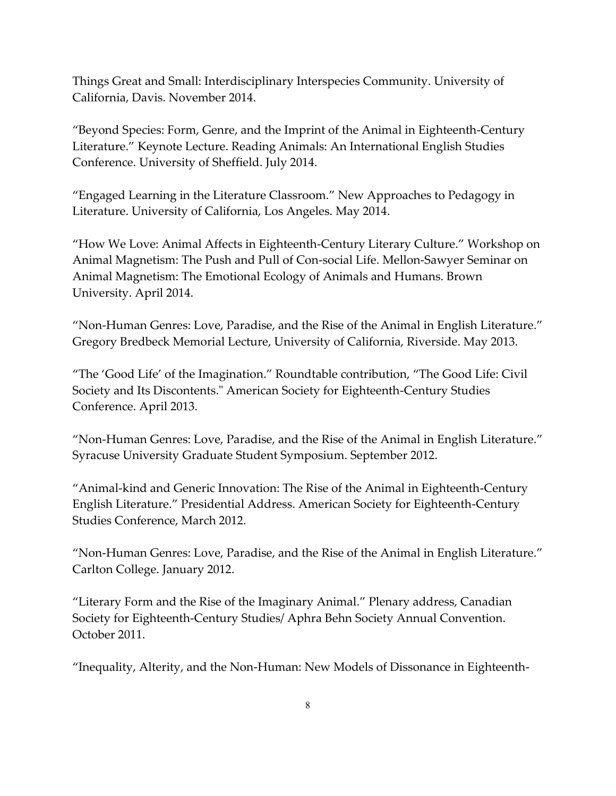Things Great and Small: Interdisciplinary Interspecies Community. University of California, Davis. November 2014.

"Beyond Species: Form, Genre, and the Imprint of the Animal in Eighteenth-Century Literature." Keynote Lecture. Reading Animals: An International English Studies Conference. University of Sheffield. July 2014.

"Engaged Learning in the Literature Classroom." New Approaches to Pedagogy in Literature. University of California, Los Angeles. May 2014.

"How We Love: Animal Affects in Eighteenth-Century Literary Culture." Workshop on Animal Magnetism: The Push and Pull of Con-social Life. Mellon-Sawyer Seminar on Animal Magnetism: The Emotional Ecology of Animals and Humans. Brown University. April 2014.

"Non-Human Genres: Love, Paradise, and the Rise of the Animal in English Literature." Gregory Bredbeck Memorial Lecture, University of California, Riverside. May 2013.

"The 'Good Life' of the Imagination." Roundtable contribution, "The Good Life: Civil Society and Its Discontents." American Society for Eighteenth-Century Studies Conference. April 2013.

"Non-Human Genres: Love, Paradise, and the Rise of the Animal in English Literature." Syracuse University Graduate Student Symposium. September 2012.

"Animal-kind and Generic Innovation: The Rise of the Animal in Eighteenth-Century English Literature." Presidential Address. American Society for Eighteenth-Century Studies Conference, March 2012.

"Non-Human Genres: Love, Paradise, and the Rise of the Animal in English Literature." Carlton College. January 2012.

"Literary Form and the Rise of the Imaginary Animal." Plenary address, Canadian Society for Eighteenth-Century Studies/ Aphra Behn Society Annual Convention. October 2011.

"Inequality, Alterity, and the Non-Human: New Models of Dissonance in Eighteenth-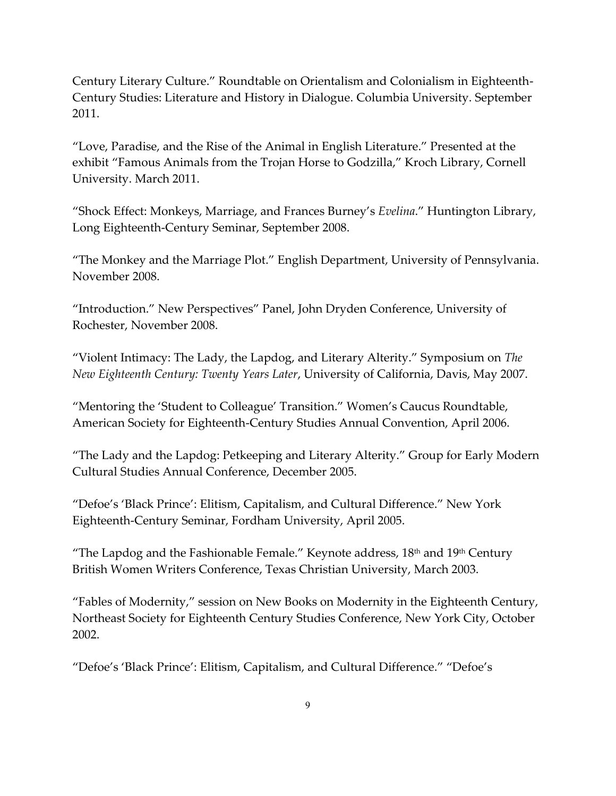Century Literary Culture." Roundtable on Orientalism and Colonialism in Eighteenth-Century Studies: Literature and History in Dialogue. Columbia University. September 2011.

"Love, Paradise, and the Rise of the Animal in English Literature." Presented at the exhibit "Famous Animals from the Trojan Horse to Godzilla," Kroch Library, Cornell University. March 2011.

"Shock Effect: Monkeys, Marriage, and Frances Burney's *Evelina*." Huntington Library, Long Eighteenth-Century Seminar, September 2008.

"The Monkey and the Marriage Plot." English Department, University of Pennsylvania. November 2008.

"Introduction." New Perspectives" Panel, John Dryden Conference, University of Rochester, November 2008.

"Violent Intimacy: The Lady, the Lapdog, and Literary Alterity." Symposium on *The New Eighteenth Century: Twenty Years Later*, University of California, Davis, May 2007.

"Mentoring the 'Student to Colleague' Transition." Women's Caucus Roundtable, American Society for Eighteenth-Century Studies Annual Convention, April 2006.

"The Lady and the Lapdog: Petkeeping and Literary Alterity." Group for Early Modern Cultural Studies Annual Conference, December 2005.

"Defoe's 'Black Prince': Elitism, Capitalism, and Cultural Difference." New York Eighteenth-Century Seminar, Fordham University, April 2005.

"The Lapdog and the Fashionable Female." Keynote address, 18<sup>th</sup> and 19<sup>th</sup> Century British Women Writers Conference, Texas Christian University, March 2003.

"Fables of Modernity," session on New Books on Modernity in the Eighteenth Century, Northeast Society for Eighteenth Century Studies Conference, New York City, October 2002.

"Defoe's 'Black Prince': Elitism, Capitalism, and Cultural Difference." "Defoe's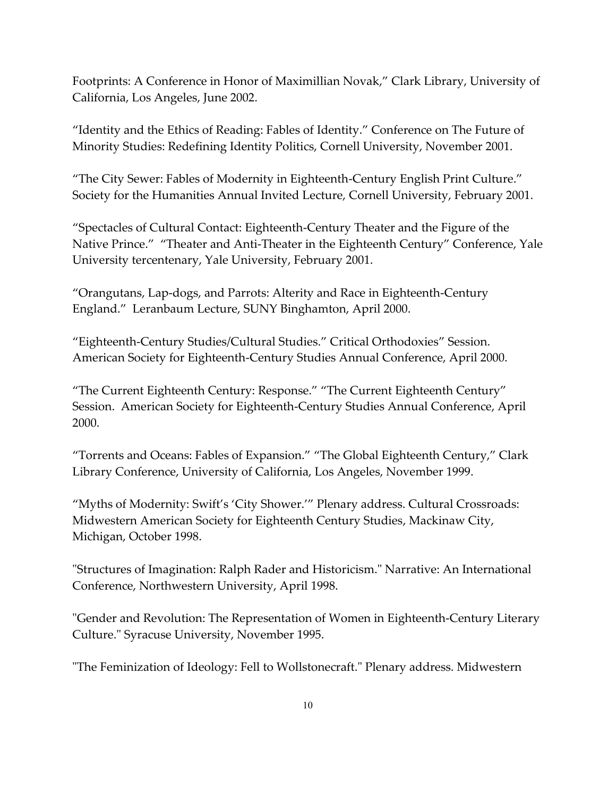Footprints: A Conference in Honor of Maximillian Novak," Clark Library, University of California, Los Angeles, June 2002.

"Identity and the Ethics of Reading: Fables of Identity." Conference on The Future of Minority Studies: Redefining Identity Politics, Cornell University, November 2001.

"The City Sewer: Fables of Modernity in Eighteenth-Century English Print Culture." Society for the Humanities Annual Invited Lecture, Cornell University, February 2001.

"Spectacles of Cultural Contact: Eighteenth-Century Theater and the Figure of the Native Prince." "Theater and Anti-Theater in the Eighteenth Century" Conference, Yale University tercentenary, Yale University, February 2001.

"Orangutans, Lap-dogs, and Parrots: Alterity and Race in Eighteenth-Century England." Leranbaum Lecture, SUNY Binghamton, April 2000.

"Eighteenth-Century Studies/Cultural Studies." Critical Orthodoxies" Session. American Society for Eighteenth-Century Studies Annual Conference, April 2000.

"The Current Eighteenth Century: Response." "The Current Eighteenth Century" Session. American Society for Eighteenth-Century Studies Annual Conference, April 2000.

"Torrents and Oceans: Fables of Expansion." "The Global Eighteenth Century," Clark Library Conference, University of California, Los Angeles, November 1999.

"Myths of Modernity: Swift's 'City Shower.'" Plenary address. Cultural Crossroads: Midwestern American Society for Eighteenth Century Studies, Mackinaw City, Michigan, October 1998.

"Structures of Imagination: Ralph Rader and Historicism." Narrative: An International Conference, Northwestern University, April 1998.

"Gender and Revolution: The Representation of Women in Eighteenth-Century Literary Culture." Syracuse University, November 1995.

"The Feminization of Ideology: Fell to Wollstonecraft." Plenary address. Midwestern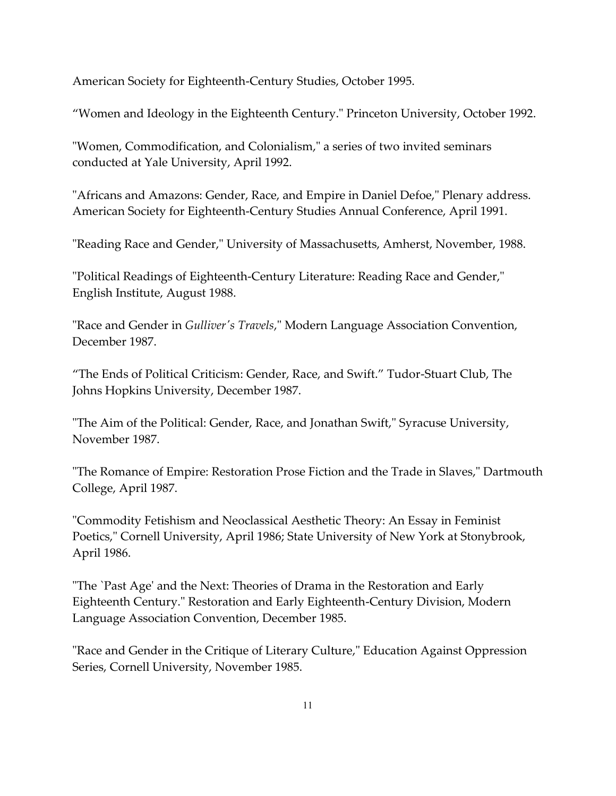American Society for Eighteenth-Century Studies, October 1995.

"Women and Ideology in the Eighteenth Century." Princeton University, October 1992.

"Women, Commodification, and Colonialism," a series of two invited seminars conducted at Yale University, April 1992.

"Africans and Amazons: Gender, Race, and Empire in Daniel Defoe," Plenary address. American Society for Eighteenth-Century Studies Annual Conference, April 1991.

"Reading Race and Gender," University of Massachusetts, Amherst, November, 1988.

"Political Readings of Eighteenth-Century Literature: Reading Race and Gender," English Institute, August 1988.

"Race and Gender in *Gulliver's Travels*," Modern Language Association Convention, December 1987.

"The Ends of Political Criticism: Gender, Race, and Swift." Tudor-Stuart Club, The Johns Hopkins University, December 1987.

"The Aim of the Political: Gender, Race, and Jonathan Swift," Syracuse University, November 1987.

"The Romance of Empire: Restoration Prose Fiction and the Trade in Slaves," Dartmouth College, April 1987.

"Commodity Fetishism and Neoclassical Aesthetic Theory: An Essay in Feminist Poetics," Cornell University, April 1986; State University of New York at Stonybrook, April 1986.

"The `Past Age' and the Next: Theories of Drama in the Restoration and Early Eighteenth Century." Restoration and Early Eighteenth-Century Division, Modern Language Association Convention, December 1985.

"Race and Gender in the Critique of Literary Culture," Education Against Oppression Series, Cornell University, November 1985.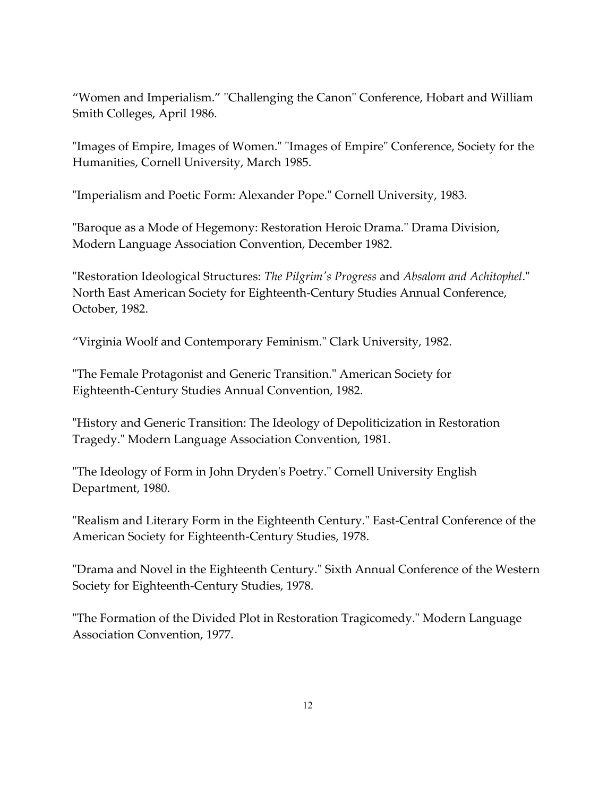"Women and Imperialism." "Challenging the Canon" Conference, Hobart and William Smith Colleges, April 1986.

"Images of Empire, Images of Women." "Images of Empire" Conference, Society for the Humanities, Cornell University, March 1985.

"Imperialism and Poetic Form: Alexander Pope." Cornell University, 1983.

"Baroque as a Mode of Hegemony: Restoration Heroic Drama." Drama Division, Modern Language Association Convention, December 1982.

"Restoration Ideological Structures: *The Pilgrim's Progress* and *Absalom and Achitophel*." North East American Society for Eighteenth-Century Studies Annual Conference, October, 1982.

"Virginia Woolf and Contemporary Feminism." Clark University, 1982.

"The Female Protagonist and Generic Transition." American Society for Eighteenth-Century Studies Annual Convention, 1982.

"History and Generic Transition: The Ideology of Depoliticization in Restoration Tragedy." Modern Language Association Convention, 1981.

"The Ideology of Form in John Dryden's Poetry." Cornell University English Department, 1980.

"Realism and Literary Form in the Eighteenth Century." East-Central Conference of the American Society for Eighteenth-Century Studies, 1978.

"Drama and Novel in the Eighteenth Century." Sixth Annual Conference of the Western Society for Eighteenth-Century Studies, 1978.

"The Formation of the Divided Plot in Restoration Tragicomedy." Modern Language Association Convention, 1977.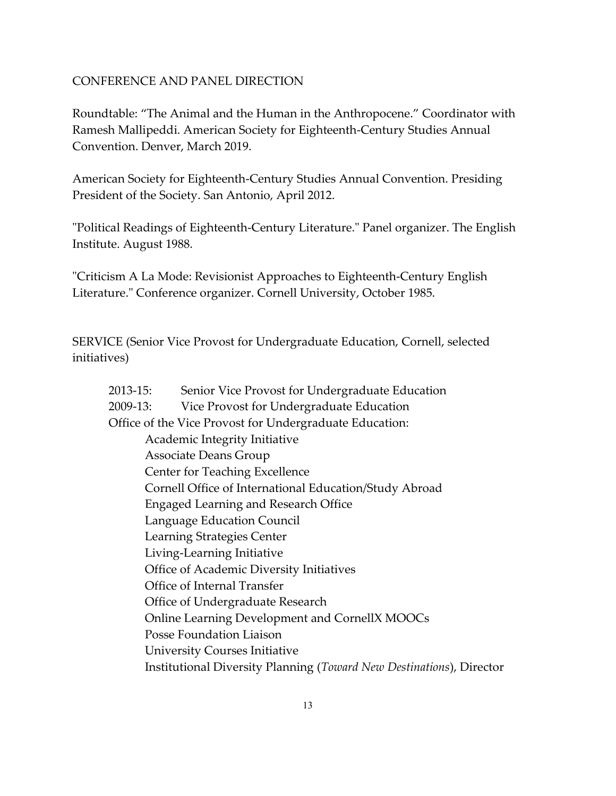### CONFERENCE AND PANEL DIRECTION

Roundtable: "The Animal and the Human in the Anthropocene." Coordinator with Ramesh Mallipeddi. American Society for Eighteenth-Century Studies Annual Convention. Denver, March 2019.

American Society for Eighteenth-Century Studies Annual Convention. Presiding President of the Society. San Antonio, April 2012.

"Political Readings of Eighteenth-Century Literature." Panel organizer. The English Institute. August 1988.

"Criticism A La Mode: Revisionist Approaches to Eighteenth-Century English Literature." Conference organizer. Cornell University, October 1985.

SERVICE (Senior Vice Provost for Undergraduate Education, Cornell, selected initiatives)

| 2013-15: | Senior Vice Provost for Undergraduate Education                      |
|----------|----------------------------------------------------------------------|
| 2009-13: | Vice Provost for Undergraduate Education                             |
|          | Office of the Vice Provost for Undergraduate Education:              |
|          | Academic Integrity Initiative                                        |
|          | Associate Deans Group                                                |
|          | <b>Center for Teaching Excellence</b>                                |
|          | Cornell Office of International Education/Study Abroad               |
|          | <b>Engaged Learning and Research Office</b>                          |
|          | Language Education Council                                           |
|          | Learning Strategies Center                                           |
|          | Living-Learning Initiative                                           |
|          | Office of Academic Diversity Initiatives                             |
|          | Office of Internal Transfer                                          |
|          | Office of Undergraduate Research                                     |
|          | Online Learning Development and CornellX MOOCs                       |
|          | Posse Foundation Liaison                                             |
|          | <b>University Courses Initiative</b>                                 |
|          | Institutional Diversity Planning (Toward New Destinations), Director |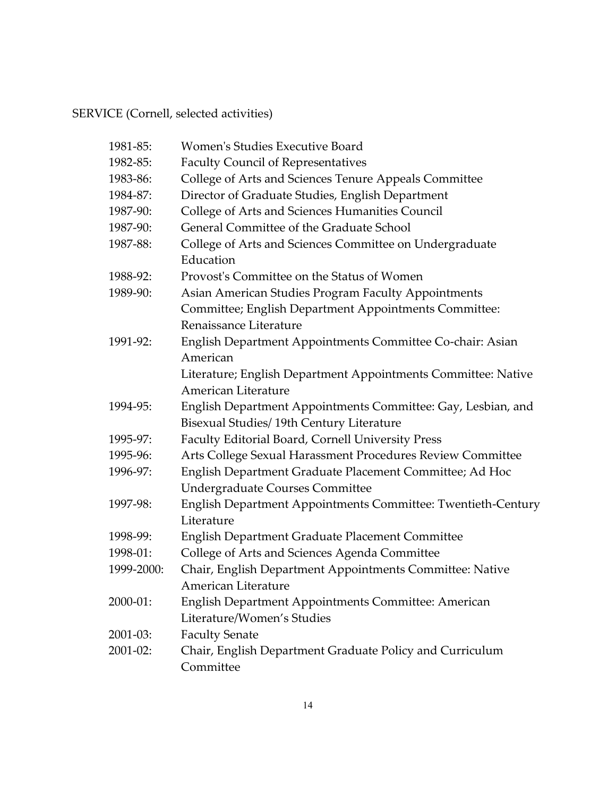## SERVICE (Cornell, selected activities)

| 1981-85:   | <b>Women's Studies Executive Board</b>                        |
|------------|---------------------------------------------------------------|
| 1982-85:   | <b>Faculty Council of Representatives</b>                     |
| 1983-86:   | College of Arts and Sciences Tenure Appeals Committee         |
| 1984-87:   | Director of Graduate Studies, English Department              |
| 1987-90:   | College of Arts and Sciences Humanities Council               |
| 1987-90:   | General Committee of the Graduate School                      |
| 1987-88:   | College of Arts and Sciences Committee on Undergraduate       |
|            | Education                                                     |
| 1988-92:   | Provost's Committee on the Status of Women                    |
| 1989-90:   | Asian American Studies Program Faculty Appointments           |
|            | Committee; English Department Appointments Committee:         |
|            | Renaissance Literature                                        |
| 1991-92:   | English Department Appointments Committee Co-chair: Asian     |
|            | American                                                      |
|            | Literature; English Department Appointments Committee: Native |
|            | American Literature                                           |
| 1994-95:   | English Department Appointments Committee: Gay, Lesbian, and  |
|            | Bisexual Studies/ 19th Century Literature                     |
| 1995-97:   | Faculty Editorial Board, Cornell University Press             |
| 1995-96:   | Arts College Sexual Harassment Procedures Review Committee    |
| 1996-97:   | English Department Graduate Placement Committee; Ad Hoc       |
|            | <b>Undergraduate Courses Committee</b>                        |
| 1997-98:   | English Department Appointments Committee: Twentieth-Century  |
|            | Literature                                                    |
| 1998-99:   | English Department Graduate Placement Committee               |
| 1998-01:   | College of Arts and Sciences Agenda Committee                 |
| 1999-2000: | Chair, English Department Appointments Committee: Native      |
|            | American Literature                                           |
| 2000-01:   | English Department Appointments Committee: American           |
|            | Literature/Women's Studies                                    |
| 2001-03:   | <b>Faculty Senate</b>                                         |
| 2001-02:   | Chair, English Department Graduate Policy and Curriculum      |
|            | Committee                                                     |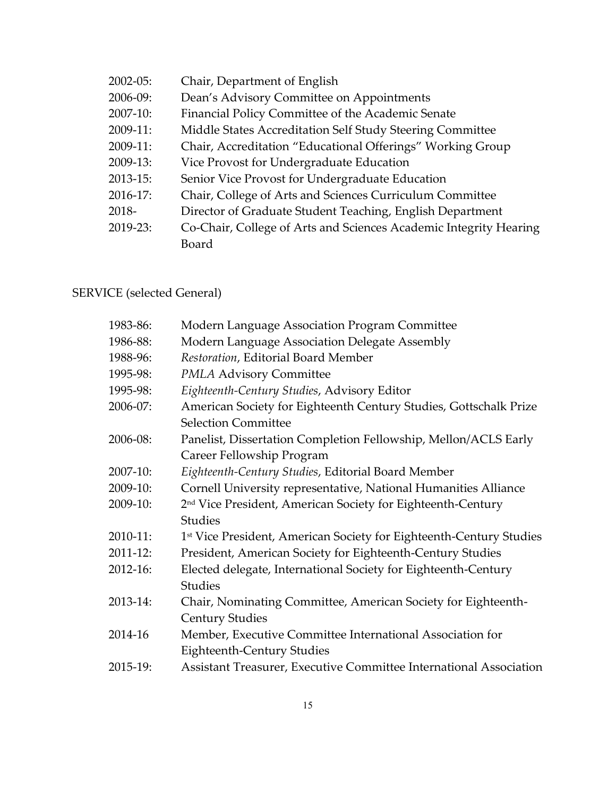| $2002 - 05$ : | Chair, Department of English                                      |
|---------------|-------------------------------------------------------------------|
| $2006 - 09$ : | Dean's Advisory Committee on Appointments                         |
| $2007-10$ :   | Financial Policy Committee of the Academic Senate                 |
| $2009-11:$    | Middle States Accreditation Self Study Steering Committee         |
| $2009-11:$    | Chair, Accreditation "Educational Offerings" Working Group        |
| $2009-13$ :   | Vice Provost for Undergraduate Education                          |
| $2013 - 15$ : | Senior Vice Provost for Undergraduate Education                   |
| $2016 - 17$ : | Chair, College of Arts and Sciences Curriculum Committee          |
| 2018-         | Director of Graduate Student Teaching, English Department         |
| 2019-23:      | Co-Chair, College of Arts and Sciences Academic Integrity Hearing |
|               | Board                                                             |

## SERVICE (selected General)

| 1983-86: | Modern Language Association Program Committee                                   |
|----------|---------------------------------------------------------------------------------|
| 1986-88: | Modern Language Association Delegate Assembly                                   |
| 1988-96: | Restoration, Editorial Board Member                                             |
| 1995-98: | <b>PMLA Advisory Committee</b>                                                  |
| 1995-98: | Eighteenth-Century Studies, Advisory Editor                                     |
| 2006-07: | American Society for Eighteenth Century Studies, Gottschalk Prize               |
|          | <b>Selection Committee</b>                                                      |
| 2006-08: | Panelist, Dissertation Completion Fellowship, Mellon/ACLS Early                 |
|          | Career Fellowship Program                                                       |
| 2007-10: | Eighteenth-Century Studies, Editorial Board Member                              |
| 2009-10: | Cornell University representative, National Humanities Alliance                 |
| 2009-10: | 2 <sup>nd</sup> Vice President, American Society for Eighteenth-Century         |
|          | <b>Studies</b>                                                                  |
| 2010-11: | 1 <sup>st</sup> Vice President, American Society for Eighteenth-Century Studies |
| 2011-12: | President, American Society for Eighteenth-Century Studies                      |
| 2012-16: | Elected delegate, International Society for Eighteenth-Century                  |
|          | <b>Studies</b>                                                                  |
| 2013-14: | Chair, Nominating Committee, American Society for Eighteenth-                   |
|          | <b>Century Studies</b>                                                          |
| 2014-16  | Member, Executive Committee International Association for                       |
|          | <b>Eighteenth-Century Studies</b>                                               |
| 2015-19: | Assistant Treasurer, Executive Committee International Association              |
|          |                                                                                 |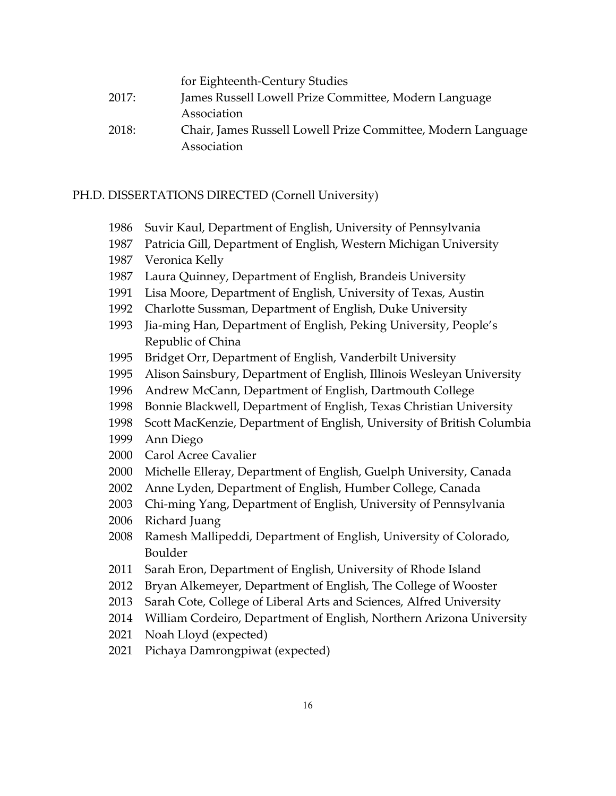|       | for Eighteenth-Century Studies                               |
|-------|--------------------------------------------------------------|
| 2017: | James Russell Lowell Prize Committee, Modern Language        |
|       | Association                                                  |
| 2018: | Chair, James Russell Lowell Prize Committee, Modern Language |
|       | Association                                                  |

#### PH.D. DISSERTATIONS DIRECTED (Cornell University)

- Suvir Kaul, Department of English, University of Pennsylvania
- Patricia Gill, Department of English, Western Michigan University
- Veronica Kelly
- Laura Quinney, Department of English, Brandeis University
- Lisa Moore, Department of English, University of Texas, Austin
- Charlotte Sussman, Department of English, Duke University
- Jia-ming Han, Department of English, Peking University, People's Republic of China
- Bridget Orr, Department of English, Vanderbilt University
- Alison Sainsbury, Department of English, Illinois Wesleyan University
- Andrew McCann, Department of English, Dartmouth College
- Bonnie Blackwell, Department of English, Texas Christian University
- Scott MacKenzie, Department of English, University of British Columbia
- Ann Diego
- Carol Acree Cavalier
- Michelle Elleray, Department of English, Guelph University, Canada
- Anne Lyden, Department of English, Humber College, Canada
- Chi-ming Yang, Department of English, University of Pennsylvania
- Richard Juang
- Ramesh Mallipeddi, Department of English, University of Colorado, Boulder
- Sarah Eron, Department of English, University of Rhode Island
- Bryan Alkemeyer, Department of English, The College of Wooster
- Sarah Cote, College of Liberal Arts and Sciences, Alfred University
- William Cordeiro, Department of English, Northern Arizona University
- Noah Lloyd (expected)
- Pichaya Damrongpiwat (expected)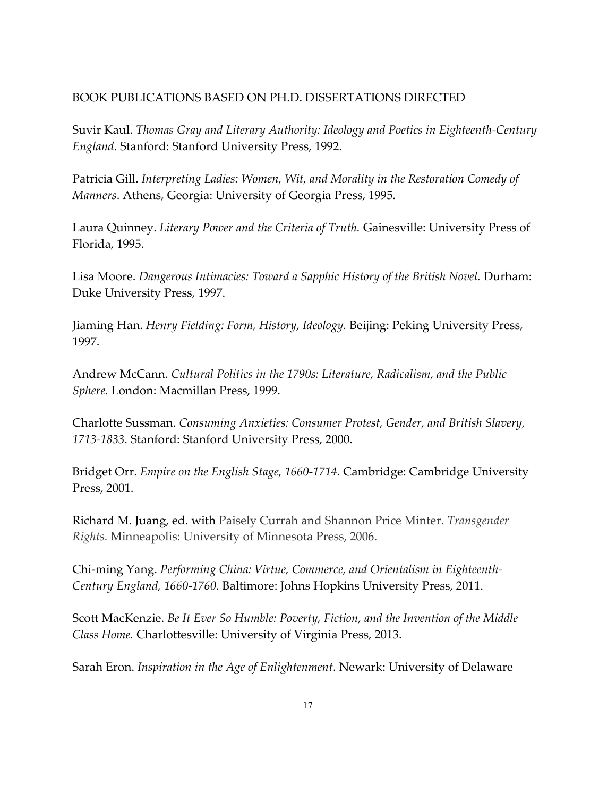## BOOK PUBLICATIONS BASED ON PH.D. DISSERTATIONS DIRECTED

Suvir Kaul. *Thomas Gray and Literary Authority: Ideology and Poetics in Eighteenth-Century England*. Stanford: Stanford University Press, 1992.

Patricia Gill. *Interpreting Ladies: Women, Wit, and Morality in the Restoration Comedy of Manners*. Athens, Georgia: University of Georgia Press, 1995.

Laura Quinney. *Literary Power and the Criteria of Truth.* Gainesville: University Press of Florida, 1995.

Lisa Moore. *Dangerous Intimacies: Toward a Sapphic History of the British Novel.* Durham: Duke University Press, 1997.

Jiaming Han. *Henry Fielding: Form, History, Ideology.* Beijing: Peking University Press, 1997.

Andrew McCann. *Cultural Politics in the 1790s: Literature, Radicalism, and the Public Sphere.* London: Macmillan Press, 1999.

Charlotte Sussman. *Consuming Anxieties: Consumer Protest, Gender, and British Slavery, 1713-1833.* Stanford: Stanford University Press, 2000.

Bridget Orr. *Empire on the English Stage, 1660-1714.* Cambridge: Cambridge University Press, 2001.

Richard M. Juang, ed. with Paisely Currah and Shannon Price Minter. *Transgender Rights.* Minneapolis: University of Minnesota Press, 2006.

Chi-ming Yang. *Performing China: Virtue, Commerce, and Orientalism in Eighteenth-Century England, 1660-1760.* Baltimore: Johns Hopkins University Press, 2011.

Scott MacKenzie. *Be It Ever So Humble: Poverty, Fiction, and the Invention of the Middle Class Home.* Charlottesville: University of Virginia Press, 2013.

Sarah Eron. *Inspiration in the Age of Enlightenment*. Newark: University of Delaware